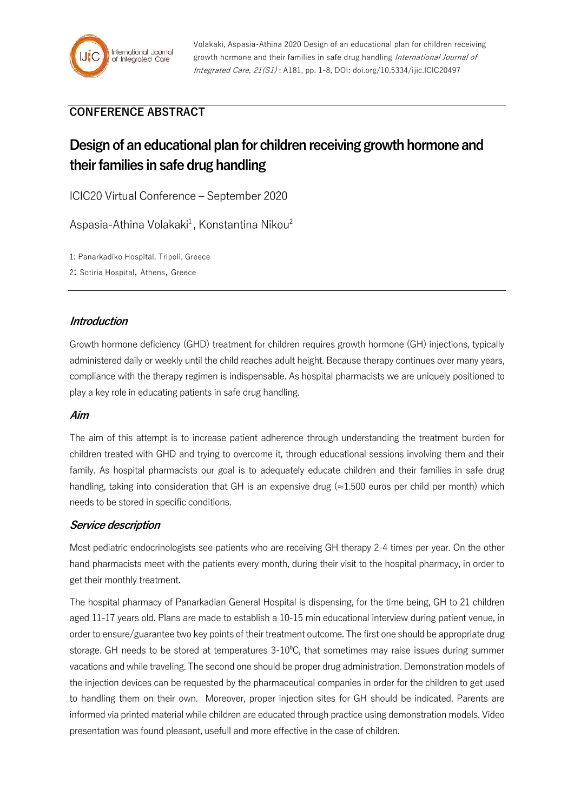

## **CONFERENCE ABSTRACT**

# **Design of an educational plan for children receiving growth hormone and their families in safe drug handling**

ICIC20 Virtual Conference – September 2020

Aspasia-Athina Volakaki<sup>1</sup>, Konstantina Nikou<sup>2</sup>

1: Panarkadiko Hospital, Tripoli, Greece

2: Sotiria Hospital, Athens, Greece

### **Introduction**

Growth hormone deficiency (GHD) treatment for children requires growth hormone (GH) injections, typically administered daily or weekly until the child reaches adult height. Because therapy continues over many years, compliance with the therapy regimen is indispensable. As hospital pharmacists we are uniquely positioned to play a key role in educating patients in safe drug handling.

#### **Aim**

The aim of this attempt is to increase patient adherence through understanding the treatment burden for children treated with GHD and trying to overcome it, through educational sessions involving them and their family. As hospital pharmacists our goal is to adequately educate children and their families in safe drug handling, taking into consideration that GH is an expensive drug (≈1.500 euros per child per month) which needs to be stored in specific conditions.

#### **Service description**

Most pediatric endocrinologists see patients who are receiving GH therapy 2-4 times per year. On the other hand pharmacists meet with the patients every month, during their visit to the hospital pharmacy, in order to get their monthly treatment.

The hospital pharmacy of Panarkadian General Hospital is dispensing, for the time being, GH to 21 children aged 11-17 years old. Plans are made to establish a 10-15 min educational interview during patient venue, in order to ensure/guarantee two key points of their treatment outcome. The first one should be appropriate drug storage. GH needs to be stored at temperatures  $3\t{-}10^{\circ}$ C, that sometimes may raise issues during summer vacations and while traveling. The second one should be proper drug administration. Demonstration models of the injection devices can be requested by the pharmaceutical companies in order for the children to get used to handling them on their own. Moreover, proper injection sites for GH should be indicated. Parents are informed via printed material while children are educated through practice using demonstration models. Video presentation was found pleasant, usefull and more effective in the case of children.